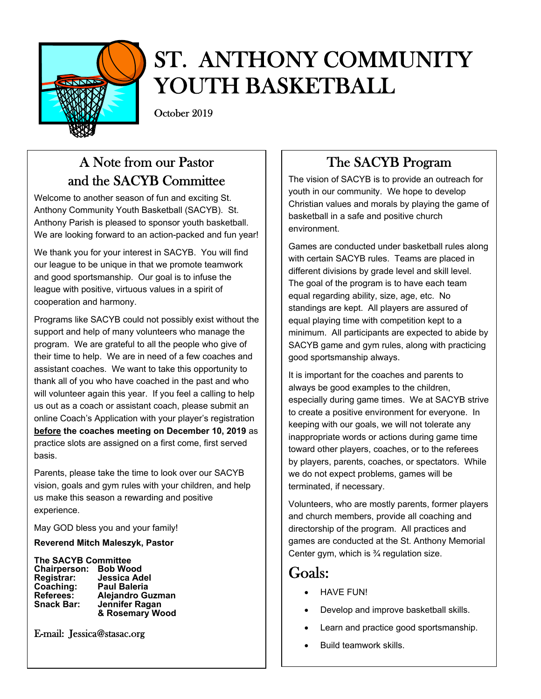

# ST. ANTHONY COMMUNITY YOUTH BASKETBALL

October 2019

# A Note from our Pastor and the SACYB Committee

Welcome to another season of fun and exciting St. Anthony Community Youth Basketball (SACYB). St. Anthony Parish is pleased to sponsor youth basketball. We are looking forward to an action-packed and fun year!

We thank you for your interest in SACYB. You will find our league to be unique in that we promote teamwork and good sportsmanship. Our goal is to infuse the league with positive, virtuous values in a spirit of cooperation and harmony.

Programs like SACYB could not possibly exist without the support and help of many volunteers who manage the program. We are grateful to all the people who give of their time to help. We are in need of a few coaches and assistant coaches. We want to take this opportunity to thank all of you who have coached in the past and who will volunteer again this year. If you feel a calling to help us out as a coach or assistant coach, please submit an online Coach's Application with your player's registration **before the coaches meeting on December 10, 2019** as practice slots are assigned on a first come, first served basis.

Parents, please take the time to look over our SACYB vision, goals and gym rules with your children, and help us make this season a rewarding and positive experience.

May GOD bless you and your family!

#### **Reverend Mitch Maleszyk, Pastor**

Referees:<br>Snack Bar: **The SACYB Committee Chairperson: Bob Wood Registrar: Jessica Adel Paul Baleria Alejandro Guzman Jennifer Ragan & Rosemary Wood** 

E-mail: Jessica@stasac.org

# The SACYB Program

The vision of SACYB is to provide an outreach for youth in our community. We hope to develop Christian values and morals by playing the game of basketball in a safe and positive church environment.

Games are conducted under basketball rules along with certain SACYB rules. Teams are placed in different divisions by grade level and skill level. The goal of the program is to have each team equal regarding ability, size, age, etc. No standings are kept. All players are assured of equal playing time with competition kept to a minimum. All participants are expected to abide by SACYB game and gym rules, along with practicing good sportsmanship always.

It is important for the coaches and parents to always be good examples to the children, especially during game times. We at SACYB strive to create a positive environment for everyone. In keeping with our goals, we will not tolerate any inappropriate words or actions during game time toward other players, coaches, or to the referees by players, parents, coaches, or spectators. While we do not expect problems, games will be terminated, if necessary.

Volunteers, who are mostly parents, former players and church members, provide all coaching and directorship of the program. All practices and games are conducted at the St. Anthony Memorial Center gym, which is ¾ regulation size.

# Goals:

- HAVE FUN!
- Develop and improve basketball skills.
- Learn and practice good sportsmanship.
- Build teamwork skills.